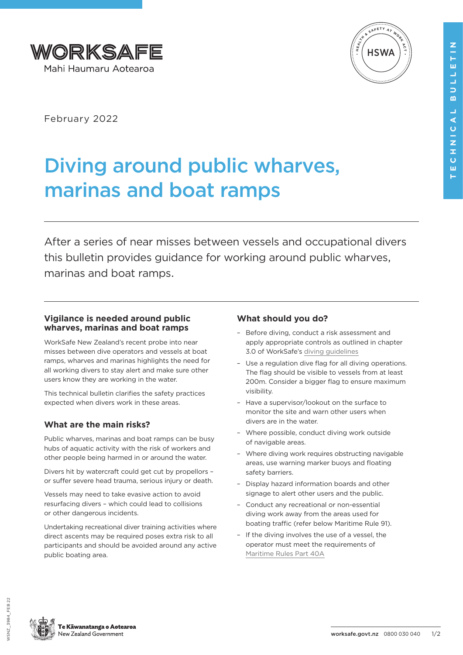



February 2022

# Diving around public wharves, marinas and boat ramps

After a series of near misses between vessels and occupational divers this bulletin provides guidance for working around public wharves, marinas and boat ramps.

## **Vigilance is needed around public wharves, marinas and boat ramps**

WorkSafe New Zealand's recent probe into near misses between dive operators and vessels at boat ramps, wharves and marinas highlights the need for all working divers to stay alert and make sure other users know they are working in the water.

This technical bulletin clarifies the safety practices expected when divers work in these areas.

## **What are the main risks?**

Public wharves, marinas and boat ramps can be busy hubs of aquatic activity with the risk of workers and other people being harmed in or around the water.

Divers hit by watercraft could get cut by propellors – or suffer severe head trauma, serious injury or death.

Vessels may need to take evasive action to avoid resurfacing divers – which could lead to collisions or other dangerous incidents.

Undertaking recreational diver training activities where direct ascents may be required poses extra risk to all participants and should be avoided around any active public boating area.

## **What should you do?**

- Before diving, conduct a risk assessment and apply appropriate controls as outlined in chapter 3.0 of WorkSafe's [diving guidelines](https://www.worksafe.govt.nz/dmsdocument/26756-working-safely-in-the-occupational-diving-snorkelling-and-free-diving-industries-a-guide-for-pcbus/latest)
- Use a regulation dive flag for all diving operations. The flag should be visible to vessels from at least 200m. Consider a bigger flag to ensure maximum visibility.
- Have a supervisor/lookout on the surface to monitor the site and warn other users when divers are in the water.
- Where possible, conduct diving work outside of navigable areas.
- Where diving work requires obstructing navigable areas, use warning marker buoys and floating safety barriers.
- Display hazard information boards and other signage to alert other users and the public.
- Conduct any recreational or non-essential diving work away from the areas used for boating traffic (refer below Maritime Rule 91).
- If the diving involves the use of a vessel, the operator must meet the requirements of [Maritime Rules Part 40A](https://www.maritimenz.govt.nz/rules/part-40A/default.asp)